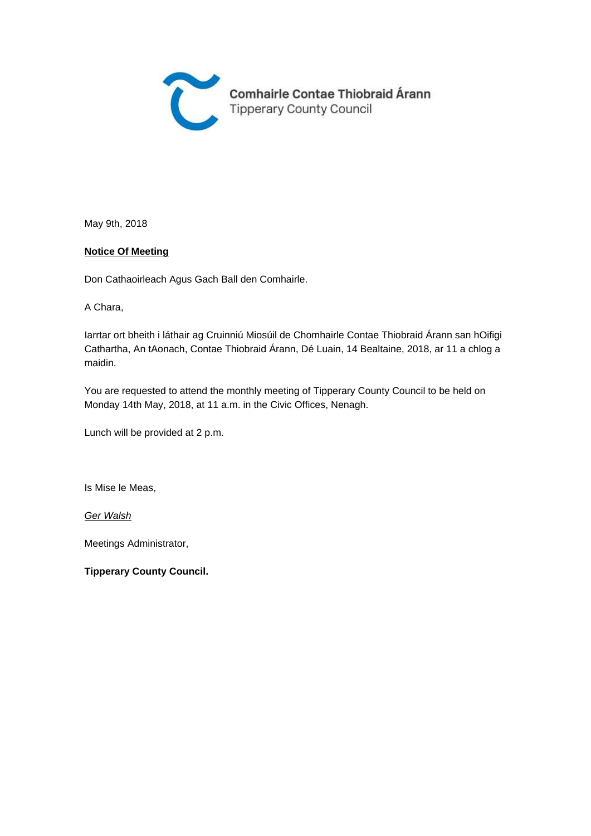

May 9th, 2018

#### **Notice Of Meeting**

Don Cathaoirleach Agus Gach Ball den Comhairle.

A Chara,

Iarrtar ort bheith i láthair ag Cruinniú Miosúil de Chomhairle Contae Thiobraid Árann san hOifigi Cathartha, An tAonach, Contae Thiobraid Árann, Dé Luain, 14 Bealtaine, 2018, ar 11 a chlog a maidin.

You are requested to attend the monthly meeting of Tipperary County Council to be held on Monday 14th May, 2018, at 11 a.m. in the Civic Offices, Nenagh.

Lunch will be provided at 2 p.m.

Is Mise le Meas,

Ger Walsh

Meetings Administrator,

**Tipperary County Council.**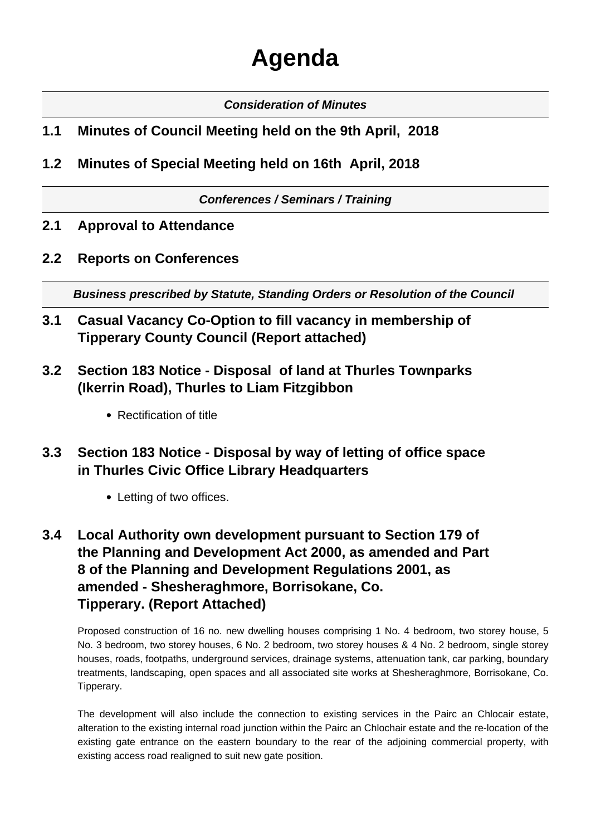# **Agenda**

#### **Consideration of Minutes**

#### **1.1 Minutes of Council Meeting held on the 9th April, 2018**

**1.2 Minutes of Special Meeting held on 16th April, 2018**

**Conferences / Seminars / Training**

**2.1 Approval to Attendance**

#### **2.2 Reports on Conferences**

**Business prescribed by Statute, Standing Orders or Resolution of the Council** 

- **3.1 Casual Vacancy Co-Option to fill vacancy in membership of Tipperary County Council (Report attached)**
- **3.2 Section 183 Notice Disposal of land at Thurles Townparks (Ikerrin Road), Thurles to Liam Fitzgibbon**
	- Rectification of title
- **3.3 Section 183 Notice Disposal by way of letting of office space in Thurles Civic Office Library Headquarters**
	- Letting of two offices.
- **3.4 Local Authority own development pursuant to Section 179 of the Planning and Development Act 2000, as amended and Part 8 of the Planning and Development Regulations 2001, as amended - Shesheraghmore, Borrisokane, Co. Tipperary. (Report Attached)**

Proposed construction of 16 no. new dwelling houses comprising 1 No. 4 bedroom, two storey house, 5 No. 3 bedroom, two storey houses, 6 No. 2 bedroom, two storey houses & 4 No. 2 bedroom, single storey houses, roads, footpaths, underground services, drainage systems, attenuation tank, car parking, boundary treatments, landscaping, open spaces and all associated site works at Shesheraghmore, Borrisokane, Co. Tipperary.

The development will also include the connection to existing services in the Pairc an Chlocair estate, alteration to the existing internal road junction within the Pairc an Chlochair estate and the re-location of the existing gate entrance on the eastern boundary to the rear of the adjoining commercial property, with existing access road realigned to suit new gate position.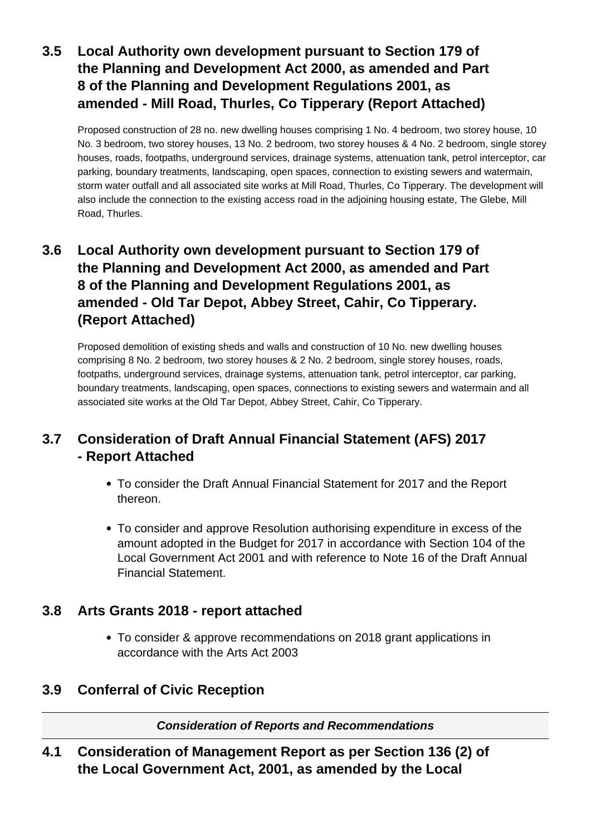# **3.5 Local Authority own development pursuant to Section 179 of the Planning and Development Act 2000, as amended and Part 8 of the Planning and Development Regulations 2001, as amended - Mill Road, Thurles, Co Tipperary (Report Attached)**

Proposed construction of 28 no. new dwelling houses comprising 1 No. 4 bedroom, two storey house, 10 No. 3 bedroom, two storey houses, 13 No. 2 bedroom, two storey houses & 4 No. 2 bedroom, single storey houses, roads, footpaths, underground services, drainage systems, attenuation tank, petrol interceptor, car parking, boundary treatments, landscaping, open spaces, connection to existing sewers and watermain, storm water outfall and all associated site works at Mill Road, Thurles, Co Tipperary. The development will also include the connection to the existing access road in the adjoining housing estate, The Glebe, Mill Road, Thurles.

# **3.6 Local Authority own development pursuant to Section 179 of the Planning and Development Act 2000, as amended and Part 8 of the Planning and Development Regulations 2001, as amended - Old Tar Depot, Abbey Street, Cahir, Co Tipperary. (Report Attached)**

Proposed demolition of existing sheds and walls and construction of 10 No. new dwelling houses comprising 8 No. 2 bedroom, two storey houses & 2 No. 2 bedroom, single storey houses, roads, footpaths, underground services, drainage systems, attenuation tank, petrol interceptor, car parking, boundary treatments, landscaping, open spaces, connections to existing sewers and watermain and all associated site works at the Old Tar Depot, Abbey Street, Cahir, Co Tipperary.

# **3.7 Consideration of Draft Annual Financial Statement (AFS) 2017 - Report Attached**

- To consider the Draft Annual Financial Statement for 2017 and the Report thereon.
- To consider and approve Resolution authorising expenditure in excess of the amount adopted in the Budget for 2017 in accordance with Section 104 of the Local Government Act 2001 and with reference to Note 16 of the Draft Annual Financial Statement.

#### **3.8 Arts Grants 2018 - report attached**

To consider & approve recommendations on 2018 grant applications in accordance with the Arts Act 2003

# **3.9 Conferral of Civic Reception**

**Consideration of Reports and Recommendations**

**4.1 Consideration of Management Report as per Section 136 (2) of the Local Government Act, 2001, as amended by the Local**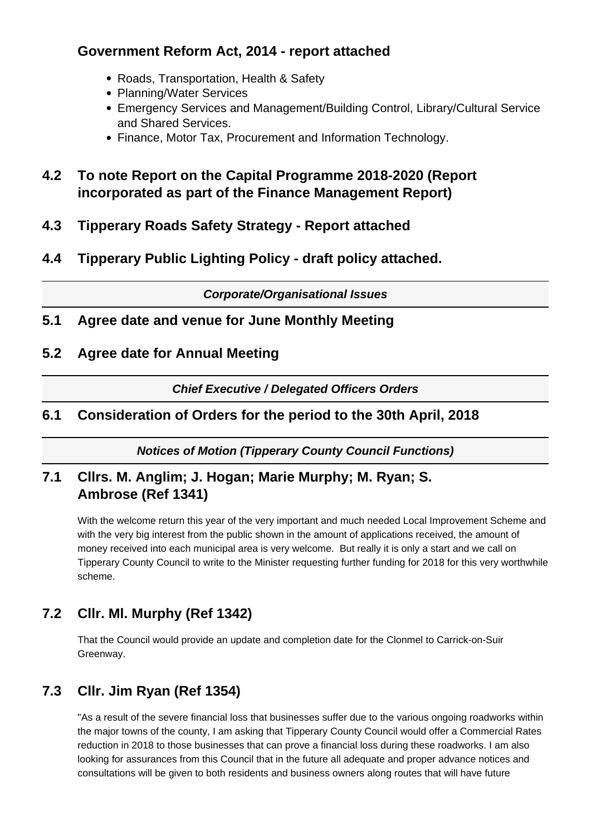## **Government Reform Act, 2014 - report attached**

- Roads, Transportation, Health & Safety
- Planning/Water Services
- Emergency Services and Management/Building Control, Library/Cultural Service and Shared Services.
- Finance, Motor Tax, Procurement and Information Technology.
- **4.2 To note Report on the Capital Programme 2018-2020 (Report incorporated as part of the Finance Management Report)**
- **4.3 Tipperary Roads Safety Strategy Report attached**
- **4.4 Tipperary Public Lighting Policy draft policy attached.**

**Corporate/Organisational Issues**

- **5.1 Agree date and venue for June Monthly Meeting**
- **5.2 Agree date for Annual Meeting**

**Chief Executive / Delegated Officers Orders**

## **6.1 Consideration of Orders for the period to the 30th April, 2018**

**Notices of Motion (Tipperary County Council Functions)**

## **7.1 Cllrs. M. Anglim; J. Hogan; Marie Murphy; M. Ryan; S. Ambrose (Ref 1341)**

With the welcome return this year of the very important and much needed Local Improvement Scheme and with the very big interest from the public shown in the amount of applications received, the amount of money received into each municipal area is very welcome. But really it is only a start and we call on Tipperary County Council to write to the Minister requesting further funding for 2018 for this very worthwhile scheme.

# **7.2 Cllr. Ml. Murphy (Ref 1342)**

That the Council would provide an update and completion date for the Clonmel to Carrick-on-Suir Greenway.

# **7.3 Cllr. Jim Ryan (Ref 1354)**

"As a result of the severe financial loss that businesses suffer due to the various ongoing roadworks within the major towns of the county, I am asking that Tipperary County Council would offer a Commercial Rates reduction in 2018 to those businesses that can prove a financial loss during these roadworks. I am also looking for assurances from this Council that in the future all adequate and proper advance notices and consultations will be given to both residents and business owners along routes that will have future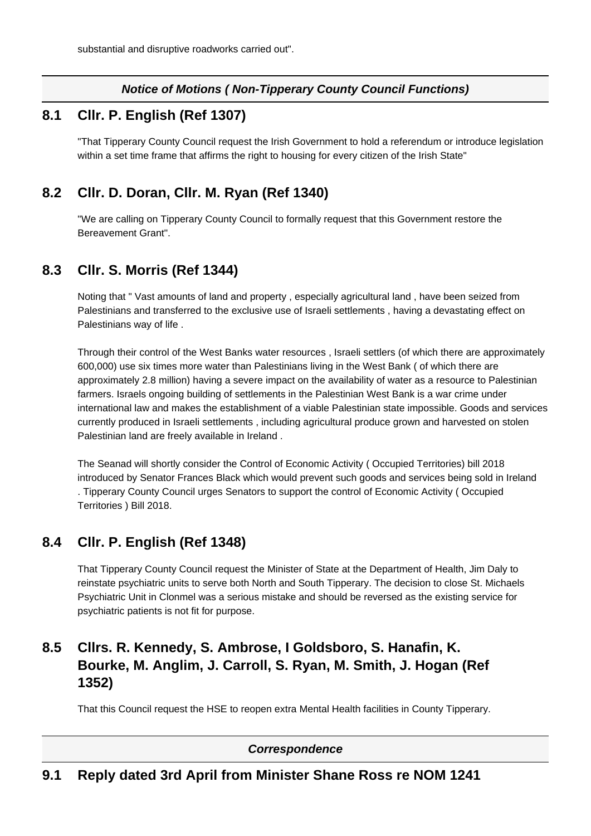#### **Notice of Motions ( Non-Tipperary County Council Functions)**

#### **8.1 Cllr. P. English (Ref 1307)**

"That Tipperary County Council request the Irish Government to hold a referendum or introduce legislation within a set time frame that affirms the right to housing for every citizen of the Irish State"

## **8.2 Cllr. D. Doran, Cllr. M. Ryan (Ref 1340)**

"We are calling on Tipperary County Council to formally request that this Government restore the Bereavement Grant".

#### **8.3 Cllr. S. Morris (Ref 1344)**

Noting that " Vast amounts of land and property , especially agricultural land , have been seized from Palestinians and transferred to the exclusive use of Israeli settlements , having a devastating effect on Palestinians way of life .

Through their control of the West Banks water resources , Israeli settlers (of which there are approximately 600,000) use six times more water than Palestinians living in the West Bank ( of which there are approximately 2.8 million) having a severe impact on the availability of water as a resource to Palestinian farmers. Israels ongoing building of settlements in the Palestinian West Bank is a war crime under international law and makes the establishment of a viable Palestinian state impossible. Goods and services currently produced in Israeli settlements , including agricultural produce grown and harvested on stolen Palestinian land are freely available in Ireland .

The Seanad will shortly consider the Control of Economic Activity ( Occupied Territories) bill 2018 introduced by Senator Frances Black which would prevent such goods and services being sold in Ireland . Tipperary County Council urges Senators to support the control of Economic Activity ( Occupied Territories ) Bill 2018.

# **8.4 Cllr. P. English (Ref 1348)**

That Tipperary County Council request the Minister of State at the Department of Health, Jim Daly to reinstate psychiatric units to serve both North and South Tipperary. The decision to close St. Michaels Psychiatric Unit in Clonmel was a serious mistake and should be reversed as the existing service for psychiatric patients is not fit for purpose.

## **8.5 Cllrs. R. Kennedy, S. Ambrose, I Goldsboro, S. Hanafin, K. Bourke, M. Anglim, J. Carroll, S. Ryan, M. Smith, J. Hogan (Ref 1352)**

That this Council request the HSE to reopen extra Mental Health facilities in County Tipperary.

#### **Correspondence**

#### **9.1 Reply dated 3rd April from Minister Shane Ross re NOM 1241**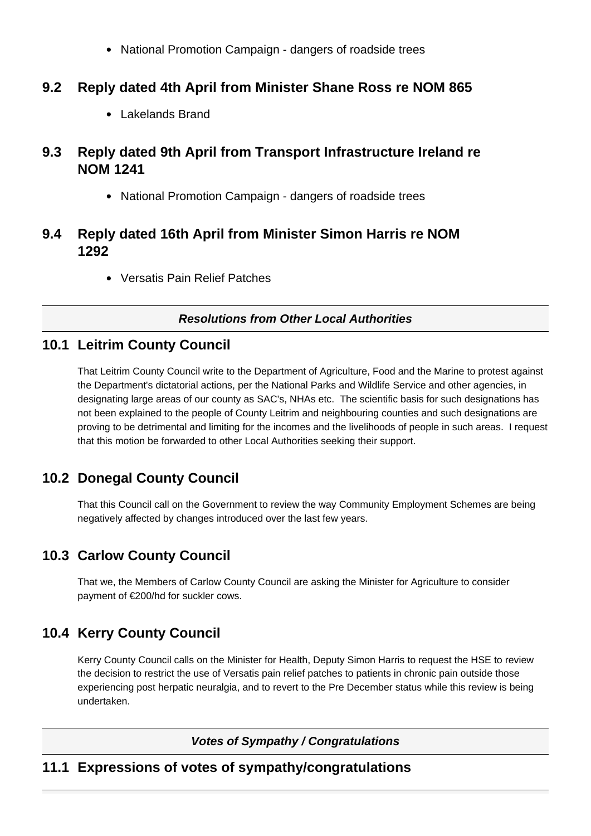National Promotion Campaign - dangers of roadside trees

### **9.2 Reply dated 4th April from Minister Shane Ross re NOM 865**

Lakelands Brand

## **9.3 Reply dated 9th April from Transport Infrastructure Ireland re NOM 1241**

National Promotion Campaign - dangers of roadside trees

#### **9.4 Reply dated 16th April from Minister Simon Harris re NOM 1292**

Versatis Pain Relief Patches

#### **Resolutions from Other Local Authorities**

#### **10.1 Leitrim County Council**

That Leitrim County Council write to the Department of Agriculture, Food and the Marine to protest against the Department's dictatorial actions, per the National Parks and Wildlife Service and other agencies, in designating large areas of our county as SAC's, NHAs etc. The scientific basis for such designations has not been explained to the people of County Leitrim and neighbouring counties and such designations are proving to be detrimental and limiting for the incomes and the livelihoods of people in such areas. I request that this motion be forwarded to other Local Authorities seeking their support.

# **10.2 Donegal County Council**

That this Council call on the Government to review the way Community Employment Schemes are being negatively affected by changes introduced over the last few years.

# **10.3 Carlow County Council**

That we, the Members of Carlow County Council are asking the Minister for Agriculture to consider payment of €200/hd for suckler cows.

# **10.4 Kerry County Council**

Kerry County Council calls on the Minister for Health, Deputy Simon Harris to request the HSE to review the decision to restrict the use of Versatis pain relief patches to patients in chronic pain outside those experiencing post herpatic neuralgia, and to revert to the Pre December status while this review is being undertaken.

**Votes of Sympathy / Congratulations**

#### **11.1 Expressions of votes of sympathy/congratulations**